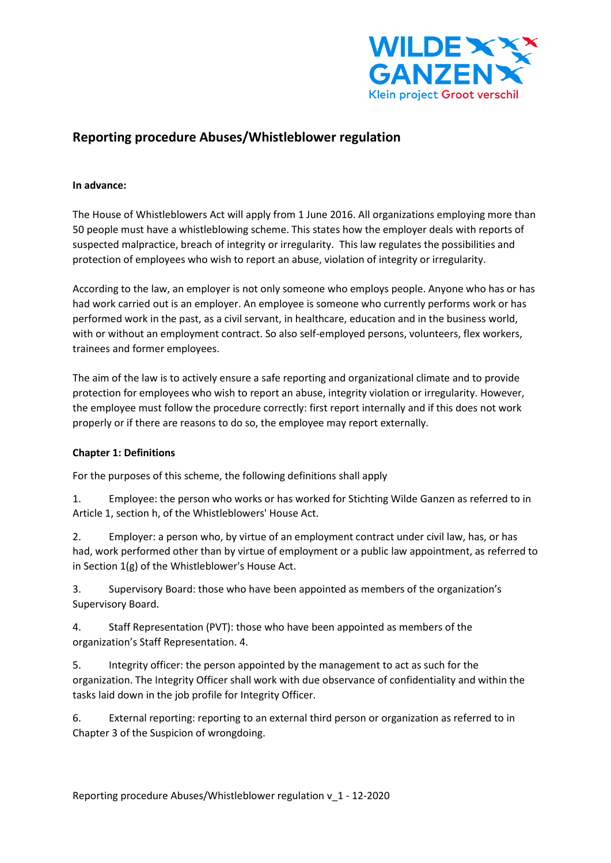

# **Reporting procedure Abuses/Whistleblower regulation**

### **In advance:**

The House of Whistleblowers Act will apply from 1 June 2016. All organizations employing more than 50 people must have a whistleblowing scheme. This states how the employer deals with reports of suspected malpractice, breach of integrity or irregularity. This law regulates the possibilities and protection of employees who wish to report an abuse, violation of integrity or irregularity.

According to the law, an employer is not only someone who employs people. Anyone who has or has had work carried out is an employer. An employee is someone who currently performs work or has performed work in the past, as a civil servant, in healthcare, education and in the business world, with or without an employment contract. So also self-employed persons, volunteers, flex workers, trainees and former employees.

The aim of the law is to actively ensure a safe reporting and organizational climate and to provide protection for employees who wish to report an abuse, integrity violation or irregularity. However, the employee must follow the procedure correctly: first report internally and if this does not work properly or if there are reasons to do so, the employee may report externally.

### **Chapter 1: Definitions**

For the purposes of this scheme, the following definitions shall apply

1. Employee: the person who works or has worked for Stichting Wilde Ganzen as referred to in Article 1, section h, of the Whistleblowers' House Act.

2. Employer: a person who, by virtue of an employment contract under civil law, has, or has had, work performed other than by virtue of employment or a public law appointment, as referred to in Section 1(g) of the Whistleblower's House Act.

3. Supervisory Board: those who have been appointed as members of the organization's Supervisory Board.

4. Staff Representation (PVT): those who have been appointed as members of the organization's Staff Representation. 4.

5. Integrity officer: the person appointed by the management to act as such for the organization. The Integrity Officer shall work with due observance of confidentiality and within the tasks laid down in the job profile for Integrity Officer.

6. External reporting: reporting to an external third person or organization as referred to in Chapter 3 of the Suspicion of wrongdoing.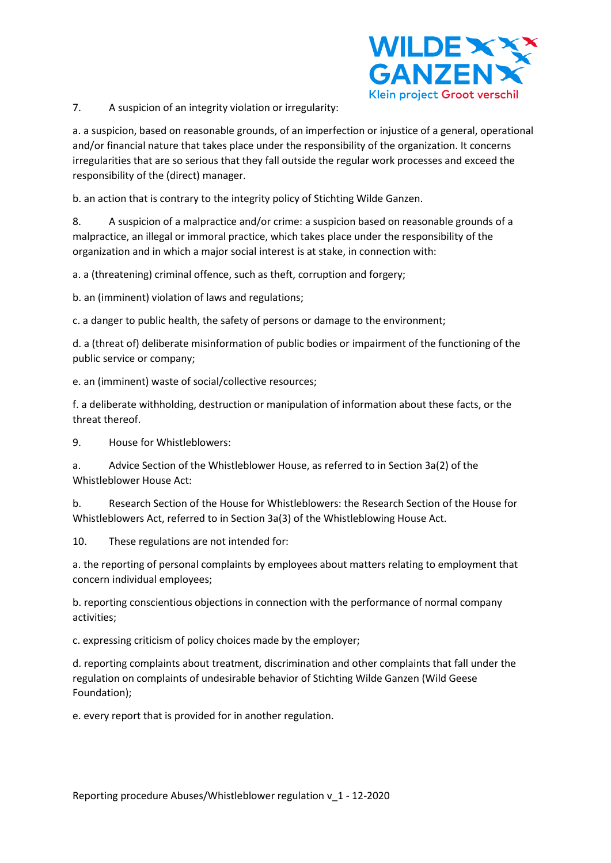

7. A suspicion of an integrity violation or irregularity:

a. a suspicion, based on reasonable grounds, of an imperfection or injustice of a general, operational and/or financial nature that takes place under the responsibility of the organization. It concerns irregularities that are so serious that they fall outside the regular work processes and exceed the responsibility of the (direct) manager.

b. an action that is contrary to the integrity policy of Stichting Wilde Ganzen.

8. A suspicion of a malpractice and/or crime: a suspicion based on reasonable grounds of a malpractice, an illegal or immoral practice, which takes place under the responsibility of the organization and in which a major social interest is at stake, in connection with:

a. a (threatening) criminal offence, such as theft, corruption and forgery;

b. an (imminent) violation of laws and regulations;

c. a danger to public health, the safety of persons or damage to the environment;

d. a (threat of) deliberate misinformation of public bodies or impairment of the functioning of the public service or company;

e. an (imminent) waste of social/collective resources;

f. a deliberate withholding, destruction or manipulation of information about these facts, or the threat thereof.

9. House for Whistleblowers:

a. Advice Section of the Whistleblower House, as referred to in Section 3a(2) of the Whistleblower House Act:

b. Research Section of the House for Whistleblowers: the Research Section of the House for Whistleblowers Act, referred to in Section 3a(3) of the Whistleblowing House Act.

10. These regulations are not intended for:

a. the reporting of personal complaints by employees about matters relating to employment that concern individual employees;

b. reporting conscientious objections in connection with the performance of normal company activities;

c. expressing criticism of policy choices made by the employer;

d. reporting complaints about treatment, discrimination and other complaints that fall under the regulation on complaints of undesirable behavior of Stichting Wilde Ganzen (Wild Geese Foundation);

e. every report that is provided for in another regulation.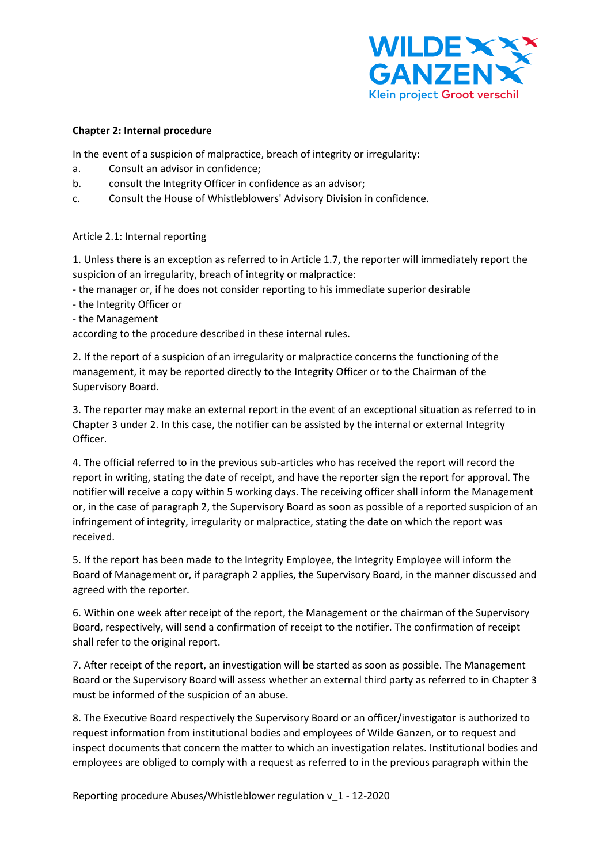

### **Chapter 2: Internal procedure**

In the event of a suspicion of malpractice, breach of integrity or irregularity:

- a. Consult an advisor in confidence;
- b. consult the Integrity Officer in confidence as an advisor;
- c. Consult the House of Whistleblowers' Advisory Division in confidence.

# Article 2.1: Internal reporting

1. Unless there is an exception as referred to in Article 1.7, the reporter will immediately report the suspicion of an irregularity, breach of integrity or malpractice:

- the manager or, if he does not consider reporting to his immediate superior desirable

- the Integrity Officer or
- the Management

according to the procedure described in these internal rules.

2. If the report of a suspicion of an irregularity or malpractice concerns the functioning of the management, it may be reported directly to the Integrity Officer or to the Chairman of the Supervisory Board.

3. The reporter may make an external report in the event of an exceptional situation as referred to in Chapter 3 under 2. In this case, the notifier can be assisted by the internal or external Integrity Officer.

4. The official referred to in the previous sub-articles who has received the report will record the report in writing, stating the date of receipt, and have the reporter sign the report for approval. The notifier will receive a copy within 5 working days. The receiving officer shall inform the Management or, in the case of paragraph 2, the Supervisory Board as soon as possible of a reported suspicion of an infringement of integrity, irregularity or malpractice, stating the date on which the report was received.

5. If the report has been made to the Integrity Employee, the Integrity Employee will inform the Board of Management or, if paragraph 2 applies, the Supervisory Board, in the manner discussed and agreed with the reporter.

6. Within one week after receipt of the report, the Management or the chairman of the Supervisory Board, respectively, will send a confirmation of receipt to the notifier. The confirmation of receipt shall refer to the original report.

7. After receipt of the report, an investigation will be started as soon as possible. The Management Board or the Supervisory Board will assess whether an external third party as referred to in Chapter 3 must be informed of the suspicion of an abuse.

8. The Executive Board respectively the Supervisory Board or an officer/investigator is authorized to request information from institutional bodies and employees of Wilde Ganzen, or to request and inspect documents that concern the matter to which an investigation relates. Institutional bodies and employees are obliged to comply with a request as referred to in the previous paragraph within the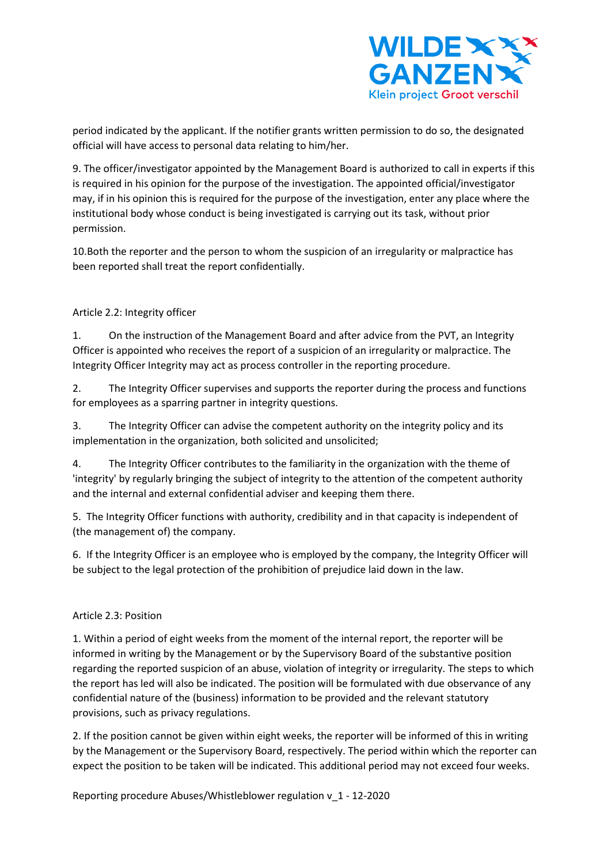

period indicated by the applicant. If the notifier grants written permission to do so, the designated official will have access to personal data relating to him/her.

9. The officer/investigator appointed by the Management Board is authorized to call in experts if this is required in his opinion for the purpose of the investigation. The appointed official/investigator may, if in his opinion this is required for the purpose of the investigation, enter any place where the institutional body whose conduct is being investigated is carrying out its task, without prior permission.

10.Both the reporter and the person to whom the suspicion of an irregularity or malpractice has been reported shall treat the report confidentially.

# Article 2.2: Integrity officer

1. On the instruction of the Management Board and after advice from the PVT, an Integrity Officer is appointed who receives the report of a suspicion of an irregularity or malpractice. The Integrity Officer Integrity may act as process controller in the reporting procedure.

2. The Integrity Officer supervises and supports the reporter during the process and functions for employees as a sparring partner in integrity questions.

3. The Integrity Officer can advise the competent authority on the integrity policy and its implementation in the organization, both solicited and unsolicited;

4. The Integrity Officer contributes to the familiarity in the organization with the theme of 'integrity' by regularly bringing the subject of integrity to the attention of the competent authority and the internal and external confidential adviser and keeping them there.

5. The Integrity Officer functions with authority, credibility and in that capacity is independent of (the management of) the company.

6. If the Integrity Officer is an employee who is employed by the company, the Integrity Officer will be subject to the legal protection of the prohibition of prejudice laid down in the law.

### Article 2.3: Position

1. Within a period of eight weeks from the moment of the internal report, the reporter will be informed in writing by the Management or by the Supervisory Board of the substantive position regarding the reported suspicion of an abuse, violation of integrity or irregularity. The steps to which the report has led will also be indicated. The position will be formulated with due observance of any confidential nature of the (business) information to be provided and the relevant statutory provisions, such as privacy regulations.

2. If the position cannot be given within eight weeks, the reporter will be informed of this in writing by the Management or the Supervisory Board, respectively. The period within which the reporter can expect the position to be taken will be indicated. This additional period may not exceed four weeks.

Reporting procedure Abuses/Whistleblower regulation v\_1 - 12-2020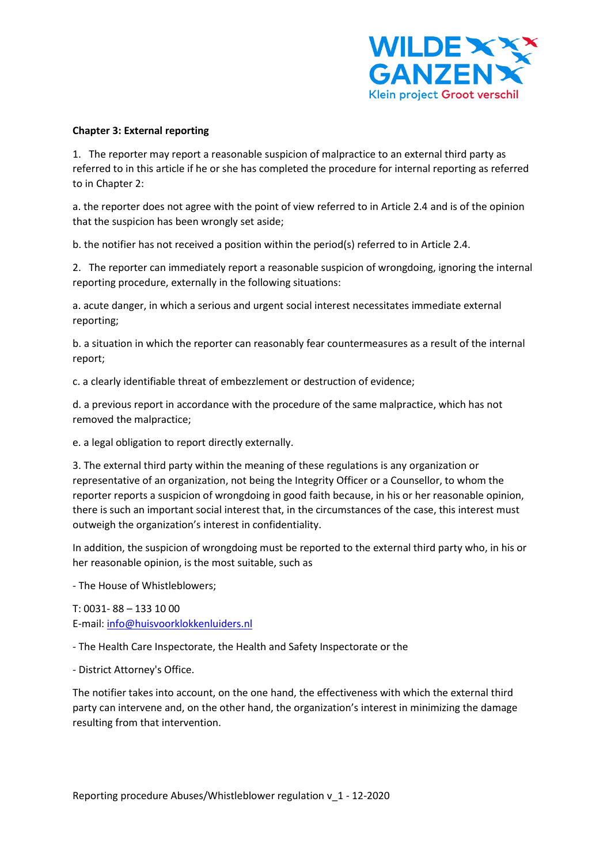

### **Chapter 3: External reporting**

1. The reporter may report a reasonable suspicion of malpractice to an external third party as referred to in this article if he or she has completed the procedure for internal reporting as referred to in Chapter 2:

a. the reporter does not agree with the point of view referred to in Article 2.4 and is of the opinion that the suspicion has been wrongly set aside;

b. the notifier has not received a position within the period(s) referred to in Article 2.4.

2. The reporter can immediately report a reasonable suspicion of wrongdoing, ignoring the internal reporting procedure, externally in the following situations:

a. acute danger, in which a serious and urgent social interest necessitates immediate external reporting;

b. a situation in which the reporter can reasonably fear countermeasures as a result of the internal report;

c. a clearly identifiable threat of embezzlement or destruction of evidence;

d. a previous report in accordance with the procedure of the same malpractice, which has not removed the malpractice;

e. a legal obligation to report directly externally.

3. The external third party within the meaning of these regulations is any organization or representative of an organization, not being the Integrity Officer or a Counsellor, to whom the reporter reports a suspicion of wrongdoing in good faith because, in his or her reasonable opinion, there is such an important social interest that, in the circumstances of the case, this interest must outweigh the organization's interest in confidentiality.

In addition, the suspicion of wrongdoing must be reported to the external third party who, in his or her reasonable opinion, is the most suitable, such as

- The House of Whistleblowers;

T: 0031- 88 – 133 10 00 E-mail: [info@huisvoorklokkenluiders.nl](mailto:info@huisvoorklokkenluiders.nl)

- The Health Care Inspectorate, the Health and Safety Inspectorate or the

- District Attorney's Office.

The notifier takes into account, on the one hand, the effectiveness with which the external third party can intervene and, on the other hand, the organization's interest in minimizing the damage resulting from that intervention.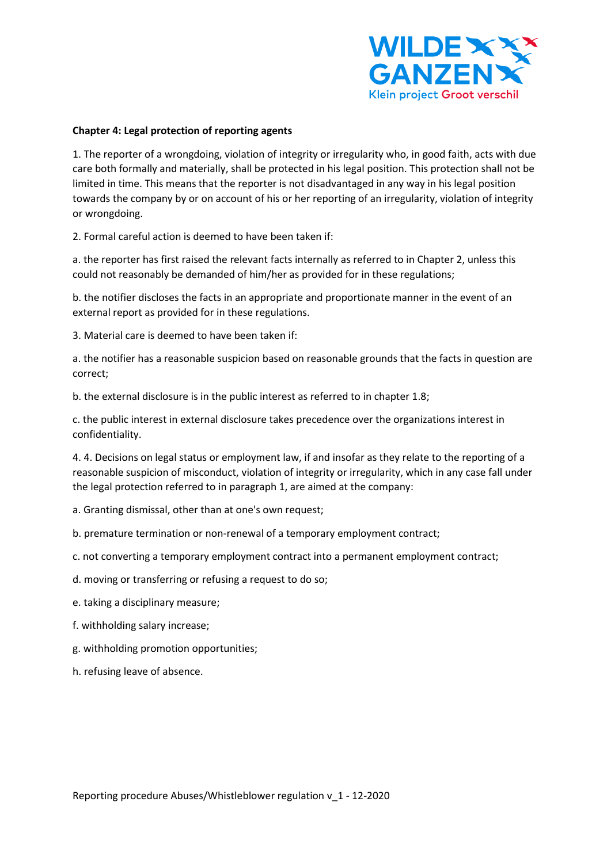

#### **Chapter 4: Legal protection of reporting agents**

1. The reporter of a wrongdoing, violation of integrity or irregularity who, in good faith, acts with due care both formally and materially, shall be protected in his legal position. This protection shall not be limited in time. This means that the reporter is not disadvantaged in any way in his legal position towards the company by or on account of his or her reporting of an irregularity, violation of integrity or wrongdoing.

2. Formal careful action is deemed to have been taken if:

a. the reporter has first raised the relevant facts internally as referred to in Chapter 2, unless this could not reasonably be demanded of him/her as provided for in these regulations;

b. the notifier discloses the facts in an appropriate and proportionate manner in the event of an external report as provided for in these regulations.

3. Material care is deemed to have been taken if:

a. the notifier has a reasonable suspicion based on reasonable grounds that the facts in question are correct;

b. the external disclosure is in the public interest as referred to in chapter 1.8;

c. the public interest in external disclosure takes precedence over the organizations interest in confidentiality.

4. 4. Decisions on legal status or employment law, if and insofar as they relate to the reporting of a reasonable suspicion of misconduct, violation of integrity or irregularity, which in any case fall under the legal protection referred to in paragraph 1, are aimed at the company:

a. Granting dismissal, other than at one's own request;

b. premature termination or non-renewal of a temporary employment contract;

c. not converting a temporary employment contract into a permanent employment contract;

d. moving or transferring or refusing a request to do so;

- e. taking a disciplinary measure;
- f. withholding salary increase;
- g. withholding promotion opportunities;
- h. refusing leave of absence.